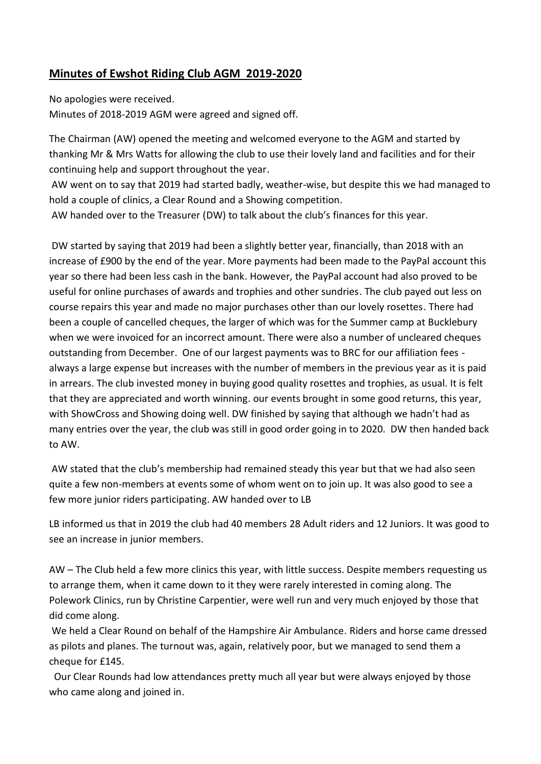## **Minutes of Ewshot Riding Club AGM 2019-2020**

No apologies were received.

Minutes of 2018-2019 AGM were agreed and signed off.

The Chairman (AW) opened the meeting and welcomed everyone to the AGM and started by thanking Mr & Mrs Watts for allowing the club to use their lovely land and facilities and for their continuing help and support throughout the year.

AW went on to say that 2019 had started badly, weather-wise, but despite this we had managed to hold a couple of clinics, a Clear Round and a Showing competition.

AW handed over to the Treasurer (DW) to talk about the club's finances for this year.

DW started by saying that 2019 had been a slightly better year, financially, than 2018 with an increase of £900 by the end of the year. More payments had been made to the PayPal account this year so there had been less cash in the bank. However, the PayPal account had also proved to be useful for online purchases of awards and trophies and other sundries. The club payed out less on course repairs this year and made no major purchases other than our lovely rosettes. There had been a couple of cancelled cheques, the larger of which was for the Summer camp at Bucklebury when we were invoiced for an incorrect amount. There were also a number of uncleared cheques outstanding from December. One of our largest payments was to BRC for our affiliation fees always a large expense but increases with the number of members in the previous year as it is paid in arrears. The club invested money in buying good quality rosettes and trophies, as usual. It is felt that they are appreciated and worth winning. our events brought in some good returns, this year, with ShowCross and Showing doing well. DW finished by saying that although we hadn't had as many entries over the year, the club was still in good order going in to 2020. DW then handed back to AW.

AW stated that the club's membership had remained steady this year but that we had also seen quite a few non-members at events some of whom went on to join up. It was also good to see a few more junior riders participating. AW handed over to LB

LB informed us that in 2019 the club had 40 members 28 Adult riders and 12 Juniors. It was good to see an increase in junior members.

AW – The Club held a few more clinics this year, with little success. Despite members requesting us to arrange them, when it came down to it they were rarely interested in coming along. The Polework Clinics, run by Christine Carpentier, were well run and very much enjoyed by those that did come along.

We held a Clear Round on behalf of the Hampshire Air Ambulance. Riders and horse came dressed as pilots and planes. The turnout was, again, relatively poor, but we managed to send them a cheque for £145.

 Our Clear Rounds had low attendances pretty much all year but were always enjoyed by those who came along and joined in.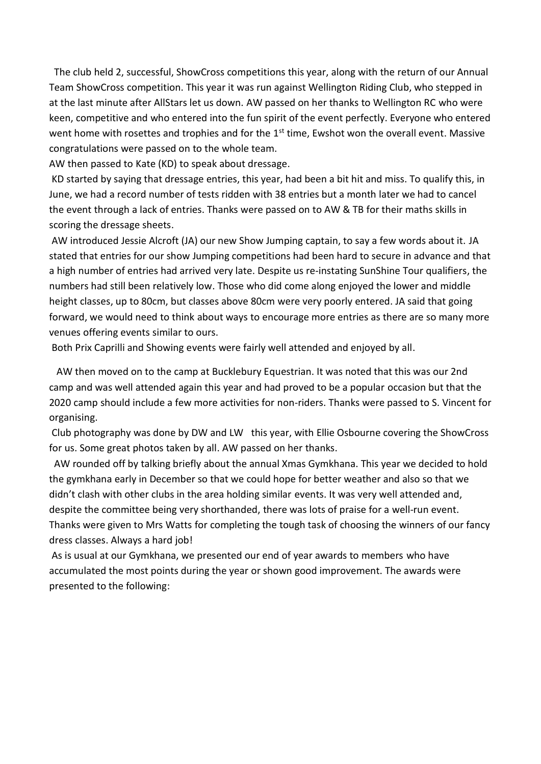The club held 2, successful, ShowCross competitions this year, along with the return of our Annual Team ShowCross competition. This year it was run against Wellington Riding Club, who stepped in at the last minute after AllStars let us down. AW passed on her thanks to Wellington RC who were keen, competitive and who entered into the fun spirit of the event perfectly. Everyone who entered went home with rosettes and trophies and for the 1<sup>st</sup> time, Ewshot won the overall event. Massive congratulations were passed on to the whole team.

AW then passed to Kate (KD) to speak about dressage.

KD started by saying that dressage entries, this year, had been a bit hit and miss. To qualify this, in June, we had a record number of tests ridden with 38 entries but a month later we had to cancel the event through a lack of entries. Thanks were passed on to AW & TB for their maths skills in scoring the dressage sheets.

AW introduced Jessie Alcroft (JA) our new Show Jumping captain, to say a few words about it. JA stated that entries for our show Jumping competitions had been hard to secure in advance and that a high number of entries had arrived very late. Despite us re-instating SunShine Tour qualifiers, the numbers had still been relatively low. Those who did come along enjoyed the lower and middle height classes, up to 80cm, but classes above 80cm were very poorly entered. JA said that going forward, we would need to think about ways to encourage more entries as there are so many more venues offering events similar to ours.

Both Prix Caprilli and Showing events were fairly well attended and enjoyed by all.

 AW then moved on to the camp at Bucklebury Equestrian. It was noted that this was our 2nd camp and was well attended again this year and had proved to be a popular occasion but that the 2020 camp should include a few more activities for non-riders. Thanks were passed to S. Vincent for organising.

Club photography was done by DW and LW this year, with Ellie Osbourne covering the ShowCross for us. Some great photos taken by all. AW passed on her thanks.

 AW rounded off by talking briefly about the annual Xmas Gymkhana. This year we decided to hold the gymkhana early in December so that we could hope for better weather and also so that we didn't clash with other clubs in the area holding similar events. It was very well attended and, despite the committee being very shorthanded, there was lots of praise for a well-run event. Thanks were given to Mrs Watts for completing the tough task of choosing the winners of our fancy dress classes. Always a hard job!

As is usual at our Gymkhana, we presented our end of year awards to members who have accumulated the most points during the year or shown good improvement. The awards were presented to the following: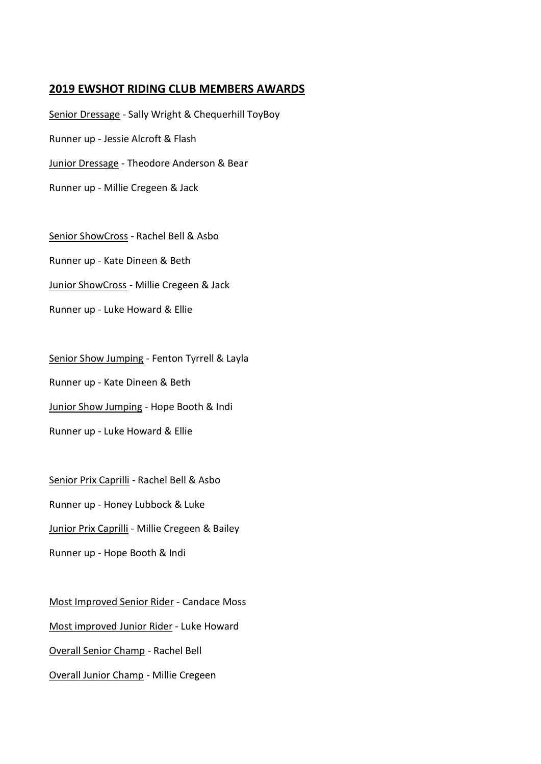## **2019 EWSHOT RIDING CLUB MEMBERS AWARDS**

Senior Dressage - Sally Wright & Chequerhill ToyBoy Runner up - Jessie Alcroft & Flash Junior Dressage - Theodore Anderson & Bear Runner up - Millie Cregeen & Jack

Senior ShowCross - Rachel Bell & Asbo Runner up - Kate Dineen & Beth Junior ShowCross - Millie Cregeen & Jack Runner up - Luke Howard & Ellie

Senior Show Jumping - Fenton Tyrrell & Layla Runner up - Kate Dineen & Beth Junior Show Jumping - Hope Booth & Indi Runner up - Luke Howard & Ellie

Senior Prix Caprilli - Rachel Bell & Asbo Runner up - Honey Lubbock & Luke **Junior Prix Caprilli** - Millie Cregeen & Bailey Runner up - Hope Booth & Indi

Most Improved Senior Rider - Candace Moss Most improved Junior Rider - Luke Howard Overall Senior Champ - Rachel Bell Overall Junior Champ - Millie Cregeen